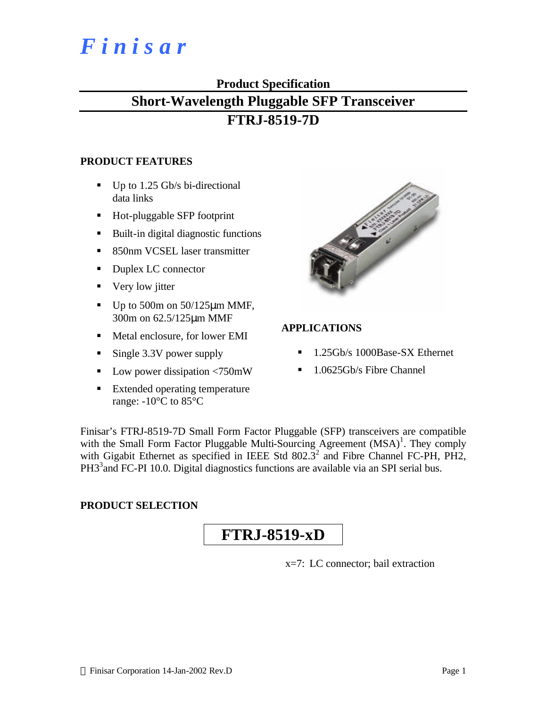# *F i n i s a r*

#### **Product Specification**

## **Short-Wavelength Pluggable SFP Transceiver**

## **FTRJ-8519-7D**

#### **PRODUCT FEATURES**

- $\blacksquare$  Up to 1.25 Gb/s bi-directional data links
- Hot-pluggable SFP footprint
- Built-in digital diagnostic functions
- 850nm VCSEL laser transmitter
- Duplex LC connector
- $\blacksquare$  Very low jitter
- Up to 500m on  $50/125 \mu m$  MMF, 300m on 62.5/125μm MMF
- Metal enclosure, for lower EMI
- $\blacksquare$  Single 3.3V power supply
- **Low power dissipation**  $\langle 750 \text{mW} \rangle$
- Extended operating temperature range: -10°C to 85°C



#### **APPLICATIONS**

- ß 1.25Gb/s 1000Base-SX Ethernet
- ß 1.0625Gb/s Fibre Channel

Finisar's FTRJ-8519-7D Small Form Factor Pluggable (SFP) transceivers are compatible with the Small Form Factor Pluggable Multi-Sourcing Agreement  $(MSA)^1$ . They comply with Gigabit Ethernet as specified in IEEE Std  $802.3^2$  and Fibre Channel FC-PH, PH2, PH3<sup>3</sup> and FC-PI 10.0. Digital diagnostics functions are available via an SPI serial bus.

#### **PRODUCT SELECTION**

## **FTRJ-8519-xD**

x=7: LC connector; bail extraction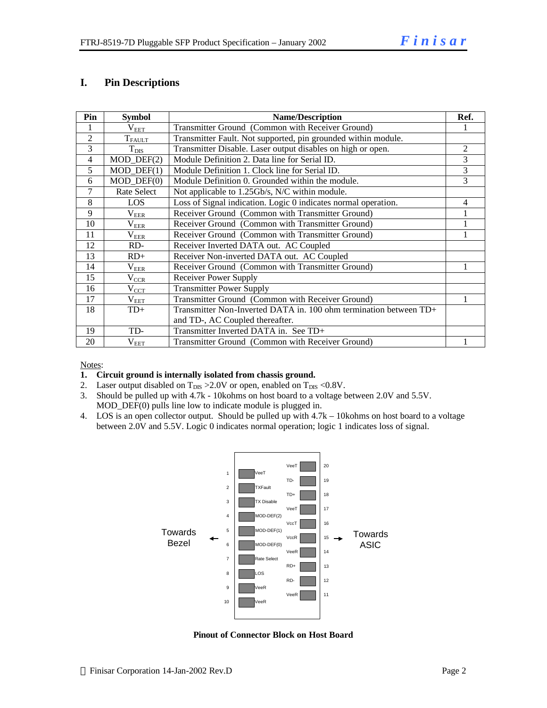#### **I. Pin Descriptions**

| Pin            | <b>Symbol</b>    | <b>Name/Description</b>                                           |   |  |  |
|----------------|------------------|-------------------------------------------------------------------|---|--|--|
|                | $\rm V_{EET}$    | Transmitter Ground (Common with Receiver Ground)                  |   |  |  |
| $\overline{2}$ | $T_{FAULT}$      | Transmitter Fault. Not supported, pin grounded within module.     |   |  |  |
| $\overline{3}$ | $T_{\rm DIS}$    | Transmitter Disable. Laser output disables on high or open.       | 2 |  |  |
| $\overline{4}$ | $MOD_$ DEF(2)    | Module Definition 2. Data line for Serial ID.                     | 3 |  |  |
| 5              | $MOD$ DEF $(1)$  | Module Definition 1. Clock line for Serial ID.                    | 3 |  |  |
| 6              | $MOD_$ DEF $(0)$ | Module Definition 0. Grounded within the module.                  | 3 |  |  |
| 7              | Rate Select      | Not applicable to 1.25Gb/s, N/C within module.                    |   |  |  |
| 8              | LOS              | Loss of Signal indication. Logic 0 indicates normal operation.    | 4 |  |  |
| $\mathbf Q$    | $\rm V_{EER}$    | Receiver Ground (Common with Transmitter Ground)                  |   |  |  |
| 10             | $\rm V_{EER}$    | Receiver Ground (Common with Transmitter Ground)                  |   |  |  |
| 11             | $\rm V_{EER}$    | Receiver Ground (Common with Transmitter Ground)                  |   |  |  |
| 12             | RD-              | Receiver Inverted DATA out. AC Coupled                            |   |  |  |
| 13             | $RD+$            | Receiver Non-inverted DATA out. AC Coupled                        |   |  |  |
| 14             | $\rm V_{EER}$    | Receiver Ground (Common with Transmitter Ground)                  |   |  |  |
| 15             | $V_{CCR}$        | Receiver Power Supply                                             |   |  |  |
| 16             | $V_{\text{CCT}}$ | <b>Transmitter Power Supply</b>                                   |   |  |  |
| 17             | $V_{EET}$        | Transmitter Ground (Common with Receiver Ground)                  |   |  |  |
| 18             | $TD+$            | Transmitter Non-Inverted DATA in. 100 ohm termination between TD+ |   |  |  |
|                |                  | and TD-, AC Coupled thereafter.                                   |   |  |  |
| 19             | TD-              | Transmitter Inverted DATA in. See TD+                             |   |  |  |
| 20             | $V_{EET}$        | Transmitter Ground (Common with Receiver Ground)                  |   |  |  |

Notes:

- **1. Circuit ground is internally isolated from chassis ground.**
- 2. Laser output disabled on  $T_{DIS} > 2.0V$  or open, enabled on  $T_{DIS} < 0.8V$ .
- 3. Should be pulled up with 4.7k 10kohms on host board to a voltage between 2.0V and 5.5V. MOD\_DEF(0) pulls line low to indicate module is plugged in.
- 4. LOS is an open collector output. Should be pulled up with 4.7k 10kohms on host board to a voltage between 2.0V and 5.5V. Logic 0 indicates normal operation; logic 1 indicates loss of signal.



**Pinout of Connector Block on Host Board**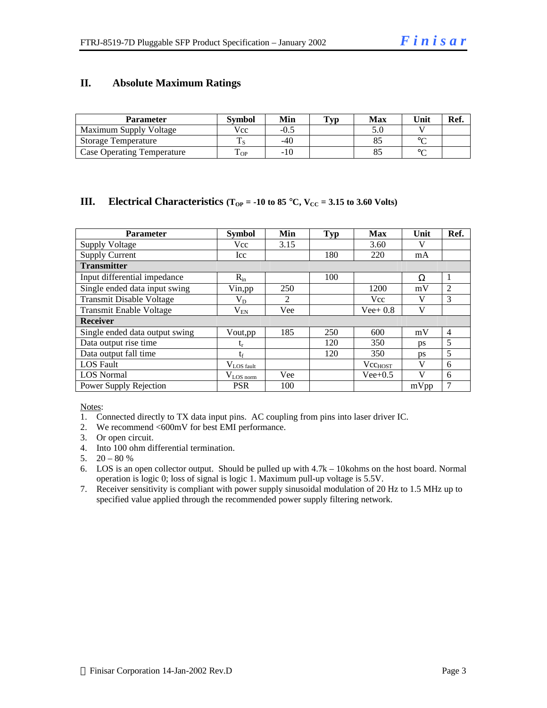#### **II. Absolute Maximum Ratings**

| <b>Parameter</b>                  | Svmbol | Min  | $\mathbf{T}_{\mathbf{V}\mathbf{D}}$ | <b>Max</b> | Unit   | Ref. |
|-----------------------------------|--------|------|-------------------------------------|------------|--------|------|
| Maximum Supply Voltage            | Vcc    | -0.5 |                                     | 5.0        |        |      |
| Storage Temperature               |        | -40  |                                     |            | $\sim$ |      |
| <b>Case Operating Temperature</b> | OP     | -10  |                                     |            | $\sim$ |      |

#### **III. Electrical Characteristics**  $(T_{OP} = -10$  to 85 °C,  $V_{CC} = 3.15$  to 3.60 Volts)

| <b>Parameter</b>               | <b>Symbol</b>   | Min            | <b>Typ</b> | <b>Max</b>   | Unit      | Ref.           |
|--------------------------------|-----------------|----------------|------------|--------------|-----------|----------------|
| <b>Supply Voltage</b>          | <b>Vcc</b>      | 3.15           |            | 3.60         | V         |                |
| <b>Supply Current</b>          | Icc             |                | 180        | 220          | mA        |                |
| <b>Transmitter</b>             |                 |                |            |              |           |                |
| Input differential impedance   | $R_{in}$        |                | 100        |              | Ω         | $\mathbf{1}$   |
| Single ended data input swing  | Vin, pp         | 250            |            | 1200         | mV        | $\overline{2}$ |
| Transmit Disable Voltage       | $\rm V_{D}$     | $\mathfrak{D}$ |            | <b>Vcc</b>   | V         | 3              |
| <b>Transmit Enable Voltage</b> | $\rm V_{EN}$    | Vee            |            | $Vee+0.8$    | V         |                |
| <b>Receiver</b>                |                 |                |            |              |           |                |
| Single ended data output swing | Vout, pp        | 185            | 250        | 600          | mV        | $\overline{4}$ |
| Data output rise time          | $t_{r}$         |                | 120        | 350          | ps        | 5              |
| Data output fall time          | $t_{\rm f}$     |                | 120        | 350          | <b>DS</b> | 5              |
| <b>LOS</b> Fault               | $V_{LOS$ fault  |                |            | $Vec_{HOST}$ | V         | 6              |
| <b>LOS</b> Normal              | $V_{LOS\_norm}$ | Vee            |            | $Vee+0.5$    | V         | 6              |
| Power Supply Rejection         | <b>PSR</b>      | 100            |            |              | mVpp      | 7              |

Notes:

1. Connected directly to TX data input pins. AC coupling from pins into laser driver IC.

2. We recommend <600mV for best EMI performance.

- 3. Or open circuit.
- 4. Into 100 ohm differential termination.
- 5.  $20 80 %$
- 6. LOS is an open collector output. Should be pulled up with 4.7k 10kohms on the host board. Normal operation is logic 0; loss of signal is logic 1. Maximum pull-up voltage is 5.5V.
- 7. Receiver sensitivity is compliant with power supply sinusoidal modulation of 20 Hz to 1.5 MHz up to specified value applied through the recommended power supply filtering network.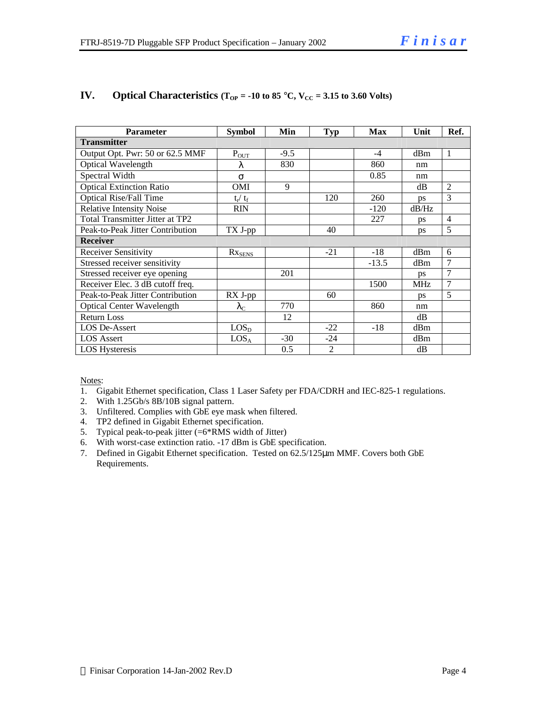| <b>Parameter</b>                 | <b>Symbol</b>     | Min    | <b>Typ</b>     | <b>Max</b> | Unit      | Ref.           |
|----------------------------------|-------------------|--------|----------------|------------|-----------|----------------|
| <b>Transmitter</b>               |                   |        |                |            |           |                |
| Output Opt. Pwr: 50 or 62.5 MMF  | $P_{OUT}$         | $-9.5$ |                | $-4$       | dBm       | $\mathbf{1}$   |
| Optical Wavelength               | λ                 | 830    |                | 860        | nm        |                |
| Spectral Width                   | $\sigma$          |        |                | 0.85       | nm        |                |
| <b>Optical Extinction Ratio</b>  | OMI               | 9      |                |            | dB        | $\overline{2}$ |
| <b>Optical Rise/Fall Time</b>    | $t_r / t_f$       |        | 120            | 260        | <b>ps</b> | $\mathcal{R}$  |
| <b>Relative Intensity Noise</b>  | <b>RIN</b>        |        |                | $-120$     | dB/Hz     |                |
| Total Transmitter Jitter at TP2  |                   |        |                | 227        | ps        | $\overline{4}$ |
| Peak-to-Peak Jitter Contribution | TX J-pp           |        | 40             |            | ps        | 5              |
| Receiver                         |                   |        |                |            |           |                |
| <b>Receiver Sensitivity</b>      | $Rx_{SENS}$       |        | $-21$          | $-18$      | dBm       | 6              |
| Stressed receiver sensitivity    |                   |        |                | $-13.5$    | dBm       | 7              |
| Stressed receiver eye opening    |                   | 201    |                |            | <b>ps</b> | 7              |
| Receiver Elec. 3 dB cutoff freq. |                   |        |                | 1500       | MHz       | 7              |
| Peak-to-Peak Jitter Contribution | RX J-pp           |        | 60             |            | ps        | 5              |
| <b>Optical Center Wavelength</b> | $\lambda_{\rm C}$ | 770    |                | 860        | nm        |                |
| <b>Return Loss</b>               |                   | 12     |                |            | dB        |                |
| LOS De-Assert                    | LOS <sub>D</sub>  |        | $-22$          | $-18$      | dBm       |                |
| <b>LOS</b> Assert                | LOS <sub>A</sub>  | $-30$  | $-24$          |            | dBm       |                |
| <b>LOS Hysteresis</b>            |                   | 0.5    | $\overline{2}$ |            | dB        |                |

#### **IV. Optical Characteristics**  $(T_{OP} = -10 \text{ to } 85 \text{ °C}, V_{CC} = 3.15 \text{ to } 3.60 \text{ Volts})$

Notes:

- 1. Gigabit Ethernet specification, Class 1 Laser Safety per FDA/CDRH and IEC-825-1 regulations.
- 2. With 1.25Gb/s 8B/10B signal pattern.
- 3. Unfiltered. Complies with GbE eye mask when filtered.
- 4. TP2 defined in Gigabit Ethernet specification.
- 5. Typical peak-to-peak jitter (=6\*RMS width of Jitter)
- 6. With worst-case extinction ratio. -17 dBm is GbE specification.
- 7. Defined in Gigabit Ethernet specification. Tested on 62.5/125μm MMF. Covers both GbE Requirements.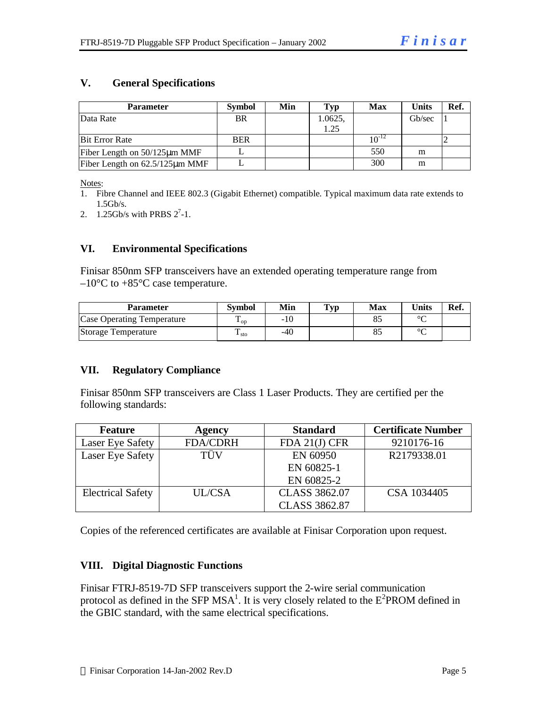#### **V. General Specifications**

| <b>Parameter</b>                     | <b>Symbol</b> | Min | Typ     | <b>Max</b> | <b>Units</b> | Ref. |
|--------------------------------------|---------------|-----|---------|------------|--------------|------|
| Data Rate                            | <b>BR</b>     |     | 1.0625, |            | Gb/sec       |      |
|                                      |               |     | 1.25    |            |              |      |
| <b>Bit Error Rate</b>                | <b>BER</b>    |     |         | $10^{-14}$ |              |      |
| Fiber Length on $50/125 \mu m$ MMF   |               |     |         | 550        | m            |      |
| Fiber Length on $62.5/125 \mu m$ MMF |               |     |         | 300        | m            |      |

Notes:

- 1. Fibre Channel and IEEE 802.3 (Gigabit Ethernet) compatible. Typical maximum data rate extends to 1.5Gb/s.
- 2.  $1.25$ Gb/s with PRBS  $2^7$ -1.

#### **VI. Environmental Specifications**

Finisar 850nm SFP transceivers have an extended operating temperature range from  $-10\textdegree$ C to  $+85\textdegree$ C case temperature.

| <b>Parameter</b>                  | Symbol          | Min | <b>Typ</b> | Max | <b>Units</b> | Ref. |
|-----------------------------------|-----------------|-----|------------|-----|--------------|------|
| <b>Case Operating Temperature</b> | $\mathbf{L}$ OD | -10 |            |     | $\sim$       |      |
| Storage Temperature               | $\pm$ sto       | -40 |            |     | $\sim$       |      |

#### **VII. Regulatory Compliance**

Finisar 850nm SFP transceivers are Class 1 Laser Products. They are certified per the following standards:

| <b>Feature</b>           | Agency          | <b>Standard</b>      | <b>Certificate Number</b> |
|--------------------------|-----------------|----------------------|---------------------------|
| <b>Laser Eye Safety</b>  | <b>FDA/CDRH</b> | FDA 21(J) CFR        | 9210176-16                |
| Laser Eye Safety         | TÜV             | EN 60950             | R2179338.01               |
|                          |                 | EN 60825-1           |                           |
|                          |                 | EN 60825-2           |                           |
| <b>Electrical Safety</b> | <b>UL/CSA</b>   | <b>CLASS 3862.07</b> | CSA 1034405               |
|                          |                 | <b>CLASS 3862.87</b> |                           |

Copies of the referenced certificates are available at Finisar Corporation upon request.

#### **VIII. Digital Diagnostic Functions**

Finisar FTRJ-8519-7D SFP transceivers support the 2-wire serial communication protocol as defined in the SFP  $MSA<sup>1</sup>$ . It is very closely related to the  $E<sup>2</sup>$ PROM defined in the GBIC standard, with the same electrical specifications.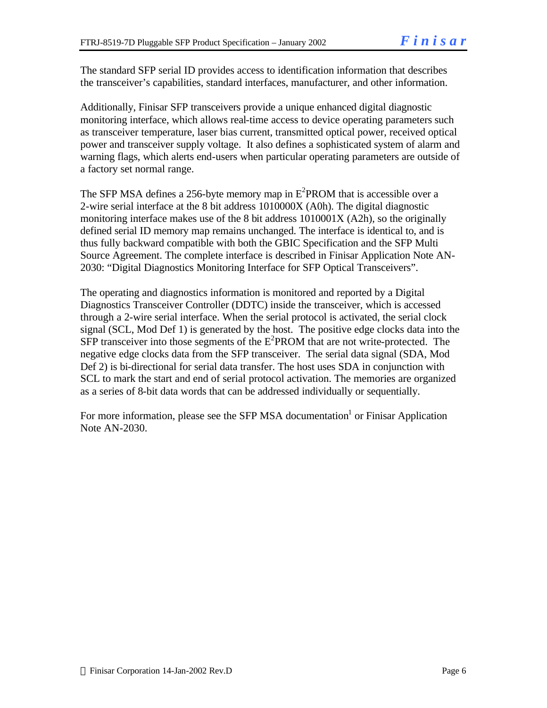The standard SFP serial ID provides access to identification information that describes the transceiver's capabilities, standard interfaces, manufacturer, and other information.

Additionally, Finisar SFP transceivers provide a unique enhanced digital diagnostic monitoring interface, which allows real-time access to device operating parameters such as transceiver temperature, laser bias current, transmitted optical power, received optical power and transceiver supply voltage. It also defines a sophisticated system of alarm and warning flags, which alerts end-users when particular operating parameters are outside of a factory set normal range.

The SFP MSA defines a 256-byte memory map in  $E^2$ PROM that is accessible over a 2-wire serial interface at the 8 bit address 1010000X (A0h). The digital diagnostic monitoring interface makes use of the 8 bit address 1010001X (A2h), so the originally defined serial ID memory map remains unchanged. The interface is identical to, and is thus fully backward compatible with both the GBIC Specification and the SFP Multi Source Agreement. The complete interface is described in Finisar Application Note AN-2030: "Digital Diagnostics Monitoring Interface for SFP Optical Transceivers".

The operating and diagnostics information is monitored and reported by a Digital Diagnostics Transceiver Controller (DDTC) inside the transceiver, which is accessed through a 2-wire serial interface. When the serial protocol is activated, the serial clock signal (SCL, Mod Def 1) is generated by the host. The positive edge clocks data into the  $SFP$  transceiver into those segments of the  $E^2$ PROM that are not write-protected. The negative edge clocks data from the SFP transceiver. The serial data signal (SDA, Mod Def 2) is bi-directional for serial data transfer. The host uses SDA in conjunction with SCL to mark the start and end of serial protocol activation. The memories are organized as a series of 8-bit data words that can be addressed individually or sequentially.

For more information, please see the SFP MSA documentation<sup>1</sup> or Finisar Application Note AN-2030.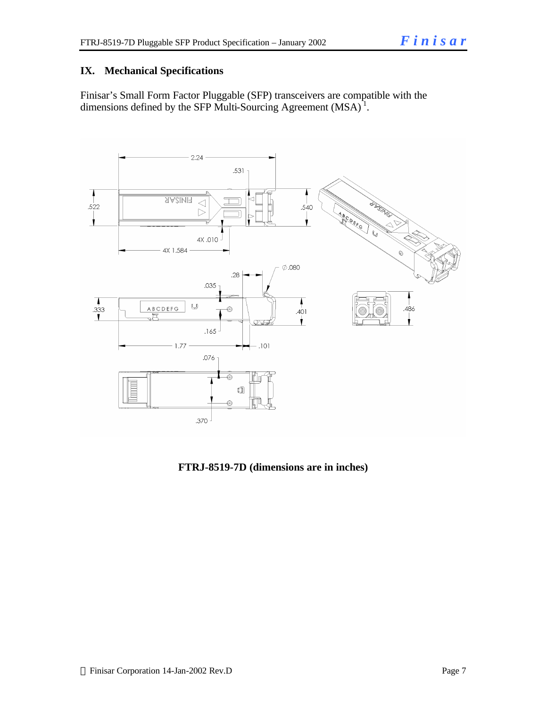#### **IX. Mechanical Specifications**

Finisar's Small Form Factor Pluggable (SFP) transceivers are compatible with the dimensions defined by the SFP Multi-Sourcing Agreement  $(MSA)^{1}$ .



**FTRJ-8519-7D (dimensions are in inches)**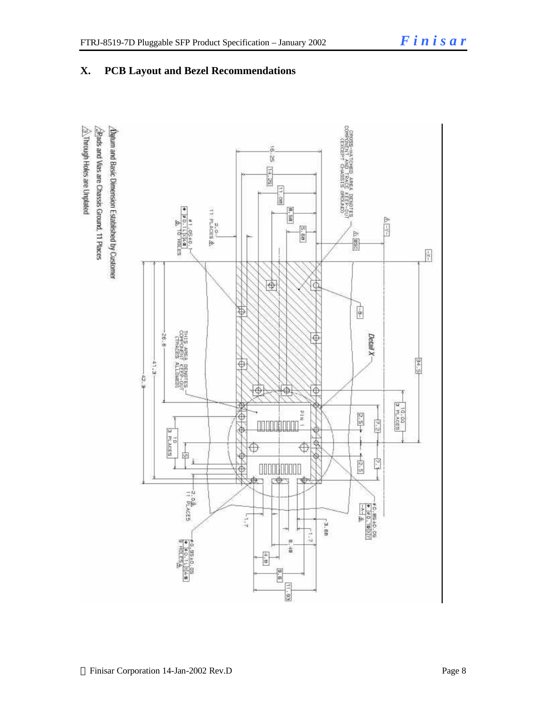$\frac{1}{\gamma}$ 

 $\frac{34.5}{5}$ 

#### оторы данные данные республики<br>1970-е да в серби данные сербия<br>2004 года в сербия данные сербия ¿Datum and Basic Dimension Established by Customer  $\overline{a}$ iy. **E4.28**  $\frac{1}{8}$ a, o<br>A ac∡es & Ë  $\frac{1}{2}$ **E.88**  $\triangleright$ **HOLES** 画  $\bigcirc$ 瓜  $\frac{1}{2}$ Þ **RESIDENCE**  $-36.8$ Detail X Φ  $-41.3 -$ **ALLOWED!**<br>FREEP-001 Ф 42.3 Φ ⊕ ⊕  $\frac{3 \text{ p.00}}{2 \text{ p.00}}$  $1$  NId  $2.5 +$ Ф is. **E PLACES**  $\frac{\theta}{\lambda}$  $\bigoplus$ Ф 闽  $\frac{1}{2.5}$ £ Ń ♦ UUUILL 中 r⊕ ੀਗ -2.0&<br><sup>11 PLACES</sup> \* 0.85 40.05<br>\* # 0.19 (K) 1)<br>\* 4 &  $2 - 1 - 1$ -3. EB  $-1.7$ **SERICES**<br>**ALCESS** 퓳  $\frac{1}{2}$  $\frac{1}{2.5}$  $\frac{11.93}{2}$

### **X. PCB Layout and Bezel Recommendations**

 $\hat{\triangle}$ . Through Holes are Unplated Bads and Vias are Chassis Ground, 11 Places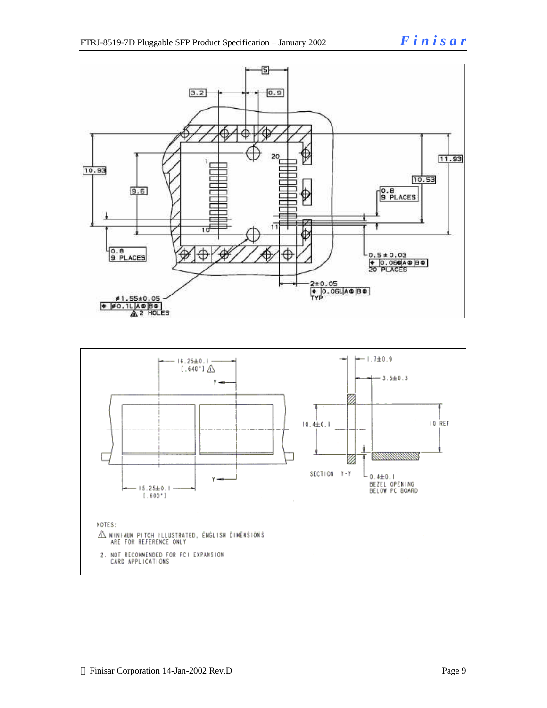